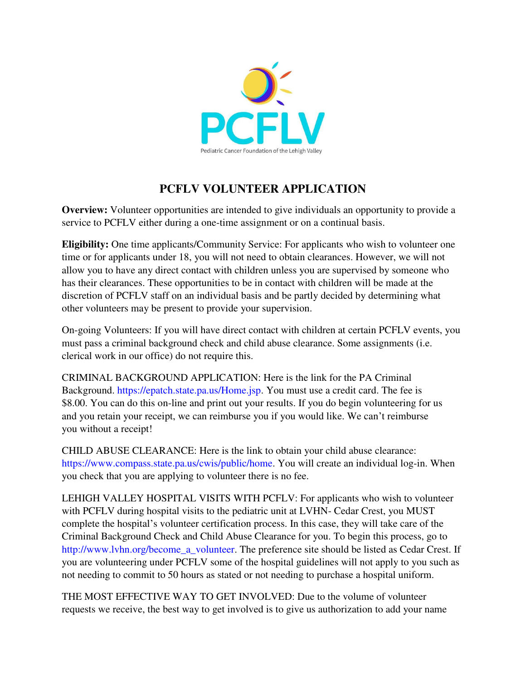

## **PCFLV VOLUNTEER APPLICATION**

**Overview:** Volunteer opportunities are intended to give individuals an opportunity to provide a service to PCFLV either during a one-time assignment or on a continual basis.

**Eligibility:** One time applicants/Community Service: For applicants who wish to volunteer one time or for applicants under 18, you will not need to obtain clearances. However, we will not allow you to have any direct contact with children unless you are supervised by someone who has their clearances. These opportunities to be in contact with children will be made at the discretion of PCFLV staff on an individual basis and be partly decided by determining what other volunteers may be present to provide your supervision.

On-going Volunteers: If you will have direct contact with children at certain PCFLV events, you must pass a criminal background check and child abuse clearance. Some assignments (i.e. clerical work in our office) do not require this.

CRIMINAL BACKGROUND APPLICATION: Here is the link for the PA Criminal Background. https://epatch.state.pa.us/Home.jsp. You must use a credit card. The fee is \$8.00. You can do this on-line and print out your results. If you do begin volunteering for us and you retain your receipt, we can reimburse you if you would like. We can't reimburse you without a receipt!

CHILD ABUSE CLEARANCE: Here is the link to obtain your child abuse clearance: https://www.compass.state.pa.us/cwis/public/home. You will create an individual log-in. When you check that you are applying to volunteer there is no fee.

LEHIGH VALLEY HOSPITAL VISITS WITH PCFLV: For applicants who wish to volunteer with PCFLV during hospital visits to the pediatric unit at LVHN- Cedar Crest, you MUST complete the hospital's volunteer certification process. In this case, they will take care of the Criminal Background Check and Child Abuse Clearance for you. To begin this process, go to http://www.lvhn.org/become\_a\_volunteer. The preference site should be listed as Cedar Crest. If you are volunteering under PCFLV some of the hospital guidelines will not apply to you such as not needing to commit to 50 hours as stated or not needing to purchase a hospital uniform.

THE MOST EFFECTIVE WAY TO GET INVOLVED: Due to the volume of volunteer requests we receive, the best way to get involved is to give us authorization to add your name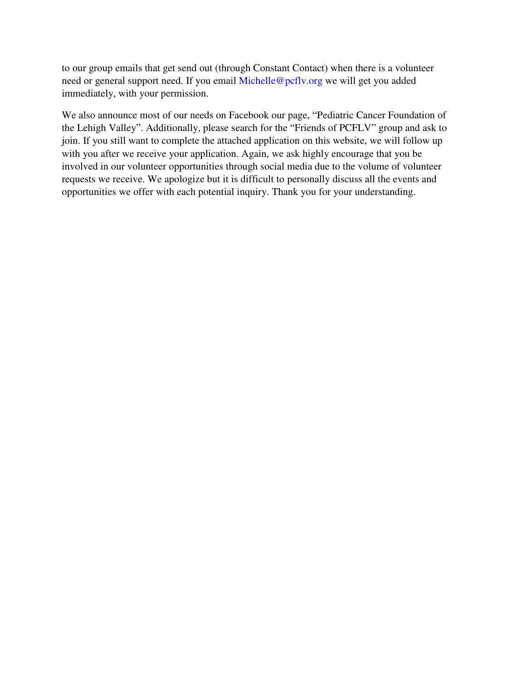to our group emails that get send out (through Constant Contact) when there is a volunteer need or general support need. If you email Michelle@pcflv.org we will get you added immediately, with your permission.

We also announce most of our needs on Facebook our page, "Pediatric Cancer Foundation of the Lehigh Valley". Additionally, please search for the "Friends of PCFLV" group and ask to join. If you still want to complete the attached application on this website, we will follow up with you after we receive your application. Again, we ask highly encourage that you be involved in our volunteer opportunities through social media due to the volume of volunteer requests we receive. We apologize but it is difficult to personally discuss all the events and opportunities we offer with each potential inquiry. Thank you for your understanding.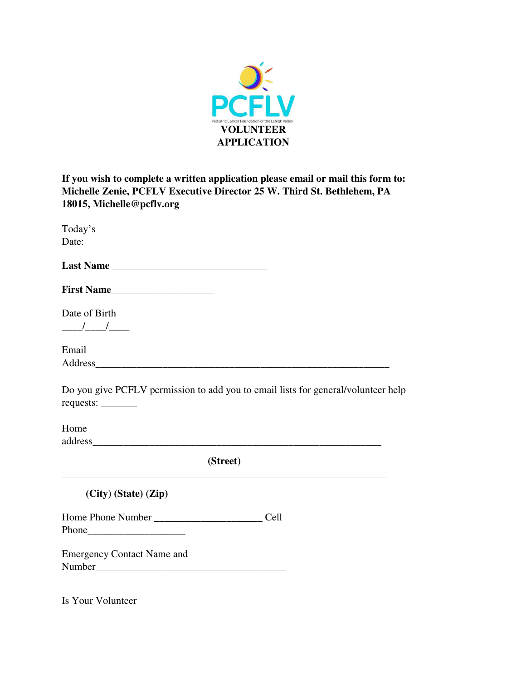

**If you wish to complete a written application please email or mail this form to: Michelle Zenie, PCFLV Executive Director 25 W. Third St. Bethlehem, PA 18015, Michelle@pcflv.org** 

| Today's<br>Date:                                                                                                                                                                                                                        |                                                                                   |
|-----------------------------------------------------------------------------------------------------------------------------------------------------------------------------------------------------------------------------------------|-----------------------------------------------------------------------------------|
|                                                                                                                                                                                                                                         |                                                                                   |
| First Name                                                                                                                                                                                                                              |                                                                                   |
| Date of Birth<br>$\frac{1}{\sqrt{2}}$                                                                                                                                                                                                   |                                                                                   |
| Email<br>Address and the contract of the contract of the contract of the contract of the contract of the contract of the contract of the contract of the contract of the contract of the contract of the contract of the contract of th |                                                                                   |
| requests:                                                                                                                                                                                                                               | Do you give PCFLV permission to add you to email lists for general/volunteer help |
| Home                                                                                                                                                                                                                                    |                                                                                   |
|                                                                                                                                                                                                                                         | (Street)                                                                          |
| $(City)$ (State) $(Zip)$                                                                                                                                                                                                                |                                                                                   |
|                                                                                                                                                                                                                                         |                                                                                   |
| <b>Emergency Contact Name and</b>                                                                                                                                                                                                       |                                                                                   |

Is Your Volunteer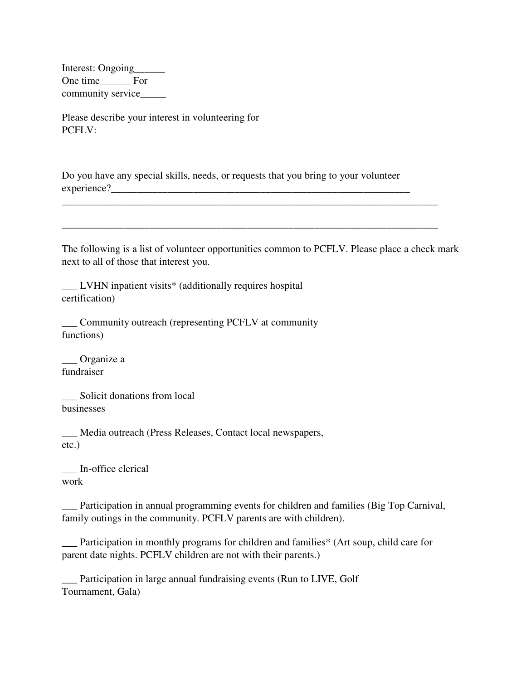Interest: Ongoing\_\_\_\_\_\_ One time For community service\_\_\_\_\_\_

Please describe your interest in volunteering for PCFLV:

Do you have any special skills, needs, or requests that you bring to your volunteer experience?\_\_\_\_\_\_\_\_\_\_\_\_\_\_\_\_\_\_\_\_\_\_\_\_\_\_\_\_\_\_\_\_\_\_\_\_\_\_\_\_\_\_\_\_\_\_\_\_\_\_\_\_\_\_\_\_\_\_

The following is a list of volunteer opportunities common to PCFLV. Please place a check mark next to all of those that interest you.

\_\_\_\_\_\_\_\_\_\_\_\_\_\_\_\_\_\_\_\_\_\_\_\_\_\_\_\_\_\_\_\_\_\_\_\_\_\_\_\_\_\_\_\_\_\_\_\_\_\_\_\_\_\_\_\_\_\_\_\_\_\_\_\_\_\_\_\_\_\_\_\_\_

\_\_\_\_\_\_\_\_\_\_\_\_\_\_\_\_\_\_\_\_\_\_\_\_\_\_\_\_\_\_\_\_\_\_\_\_\_\_\_\_\_\_\_\_\_\_\_\_\_\_\_\_\_\_\_\_\_\_\_\_\_\_\_\_\_\_\_\_\_\_\_\_\_

\_\_\_ LVHN inpatient visits\* (additionally requires hospital certification)

\_\_\_ Community outreach (representing PCFLV at community functions)

\_\_\_ Organize a fundraiser

\_\_\_ Solicit donations from local businesses

\_\_\_ Media outreach (Press Releases, Contact local newspapers, etc.)

\_\_\_ In-office clerical work

\_\_\_ Participation in annual programming events for children and families (Big Top Carnival, family outings in the community. PCFLV parents are with children).

\_\_\_ Participation in monthly programs for children and families\* (Art soup, child care for parent date nights. PCFLV children are not with their parents.)

\_\_\_ Participation in large annual fundraising events (Run to LIVE, Golf Tournament, Gala)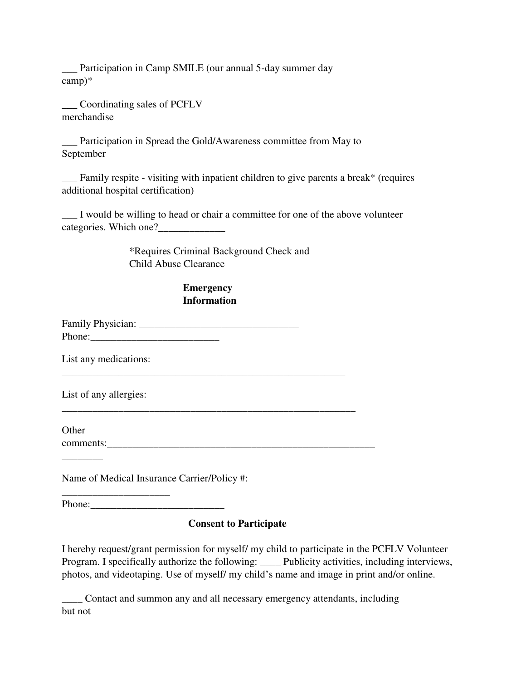\_\_\_ Participation in Camp SMILE (our annual 5-day summer day camp)\*

\_\_\_ Coordinating sales of PCFLV merchandise

\_\_\_ Participation in Spread the Gold/Awareness committee from May to September

 $\equiv$  Family respite - visiting with inpatient children to give parents a break\* (requires additional hospital certification)

I would be willing to head or chair a committee for one of the above volunteer categories. Which one?

> \*Requires Criminal Background Check and Child Abuse Clearance

## **Emergency Information**

\_\_\_\_\_\_\_\_\_\_\_\_\_\_\_\_\_\_\_\_\_\_\_\_\_\_\_\_\_\_\_\_\_\_\_\_\_\_\_\_\_\_\_\_\_\_\_\_\_\_\_\_\_\_\_

\_\_\_\_\_\_\_\_\_\_\_\_\_\_\_\_\_\_\_\_\_\_\_\_\_\_\_\_\_\_\_\_\_\_\_\_\_\_\_\_\_\_\_\_\_\_\_\_\_\_\_\_\_\_\_\_\_

Family Physician: \_\_\_\_\_\_\_\_\_\_\_\_\_\_\_\_\_\_\_\_\_\_\_\_\_\_\_\_\_\_\_ Phone:

List any medications:

List of any allergies:

**Other** comments:

 $\overline{\phantom{a}}$   $\overline{\phantom{a}}$ 

Name of Medical Insurance Carrier/Policy #:

Phone:

\_\_\_\_\_\_\_\_\_\_\_\_\_\_\_\_\_\_\_\_\_

## **Consent to Participate**

I hereby request/grant permission for myself/ my child to participate in the PCFLV Volunteer Program. I specifically authorize the following: \_\_\_\_ Publicity activities, including interviews, photos, and videotaping. Use of myself/ my child's name and image in print and/or online.

\_\_\_\_ Contact and summon any and all necessary emergency attendants, including but not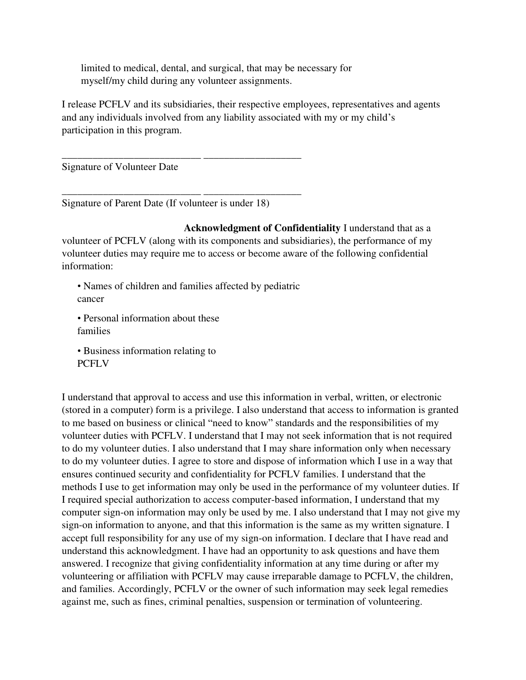limited to medical, dental, and surgical, that may be necessary for myself/my child during any volunteer assignments.

I release PCFLV and its subsidiaries, their respective employees, representatives and agents and any individuals involved from any liability associated with my or my child's participation in this program.

Signature of Volunteer Date

Signature of Parent Date (If volunteer is under 18)

\_\_\_\_\_\_\_\_\_\_\_\_\_\_\_\_\_\_\_\_\_\_\_\_\_\_\_ \_\_\_\_\_\_\_\_\_\_\_\_\_\_\_\_\_\_\_

\_\_\_\_\_\_\_\_\_\_\_\_\_\_\_\_\_\_\_\_\_\_\_\_\_\_\_ \_\_\_\_\_\_\_\_\_\_\_\_\_\_\_\_\_\_\_

**Acknowledgment of Confidentiality** I understand that as a volunteer of PCFLV (along with its components and subsidiaries), the performance of my volunteer duties may require me to access or become aware of the following confidential information:

• Names of children and families affected by pediatric cancer

• Personal information about these families

• Business information relating to PCFLV

I understand that approval to access and use this information in verbal, written, or electronic (stored in a computer) form is a privilege. I also understand that access to information is granted to me based on business or clinical "need to know" standards and the responsibilities of my volunteer duties with PCFLV. I understand that I may not seek information that is not required to do my volunteer duties. I also understand that I may share information only when necessary to do my volunteer duties. I agree to store and dispose of information which I use in a way that ensures continued security and confidentiality for PCFLV families. I understand that the methods I use to get information may only be used in the performance of my volunteer duties. If I required special authorization to access computer-based information, I understand that my computer sign-on information may only be used by me. I also understand that I may not give my sign-on information to anyone, and that this information is the same as my written signature. I accept full responsibility for any use of my sign-on information. I declare that I have read and understand this acknowledgment. I have had an opportunity to ask questions and have them answered. I recognize that giving confidentiality information at any time during or after my volunteering or affiliation with PCFLV may cause irreparable damage to PCFLV, the children, and families. Accordingly, PCFLV or the owner of such information may seek legal remedies against me, such as fines, criminal penalties, suspension or termination of volunteering.